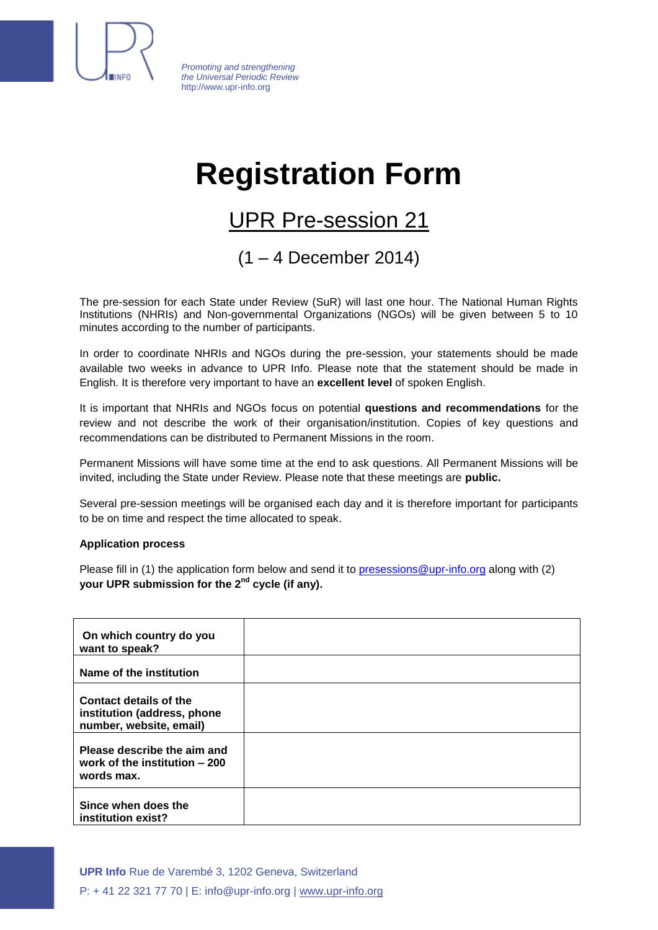

*Promoting and strengthening the Universal Periodic Review* http://www.upr-info.org

## **Registration Form**

## UPR Pre-session 21

(1 – 4 December 2014)

The pre-session for each State under Review (SuR) will last one hour. The National Human Rights Institutions (NHRIs) and Non-governmental Organizations (NGOs) will be given between 5 to 10 minutes according to the number of participants.

In order to coordinate NHRIs and NGOs during the pre-session, your statements should be made available two weeks in advance to UPR Info. Please note that the statement should be made in English. It is therefore very important to have an **excellent level** of spoken English.

It is important that NHRIs and NGOs focus on potential **questions and recommendations** for the review and not describe the work of their organisation/institution. Copies of key questions and recommendations can be distributed to Permanent Missions in the room.

Permanent Missions will have some time at the end to ask questions. All Permanent Missions will be invited, including the State under Review. Please note that these meetings are **public.**

Several pre-session meetings will be organised each day and it is therefore important for participants to be on time and respect the time allocated to speak.

## **Application process**

Please fill in (1) the application form below and send it to [presessions@upr-info.org](mailto:presessions@upr-info.org) along with (2) **your UPR submission for the 2 nd cycle (if any).**

| On which country do you<br>want to speak?                                        |  |
|----------------------------------------------------------------------------------|--|
| Name of the institution                                                          |  |
| Contact details of the<br>institution (address, phone<br>number, website, email) |  |
| Please describe the aim and<br>work of the institution - 200<br>words max.       |  |
| Since when does the<br>institution exist?                                        |  |

**UPR Info** Rue de Varembé 3, 1202 Geneva, Switzerland P: + 41 22 321 77 70 | E: info@upr-info.org | www.upr-info.org